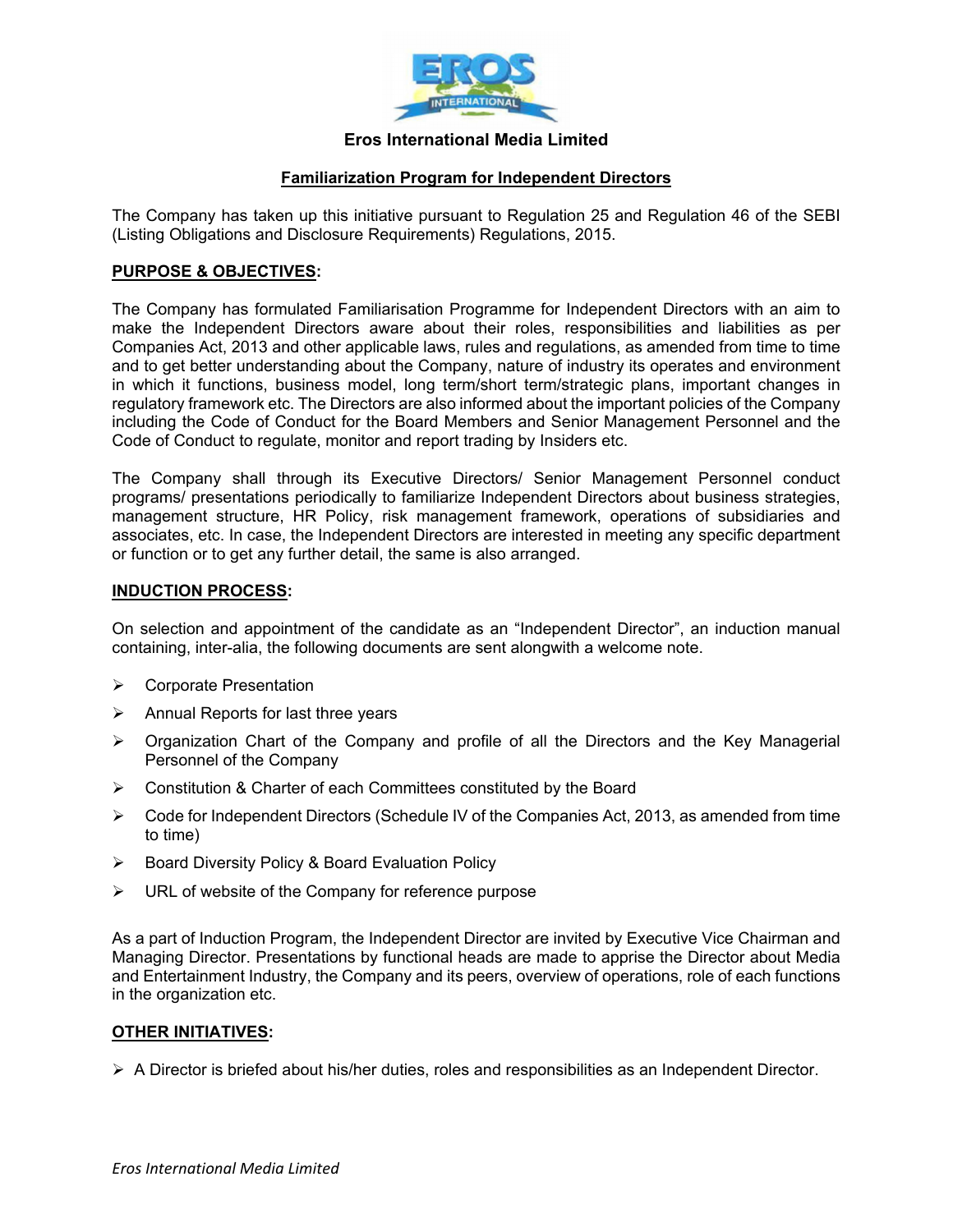

# **Eros International Media Limited**

## **Familiarization Program for Independent Directors**

The Company has taken up this initiative pursuant to Regulation 25 and Regulation 46 of the SEBI (Listing Obligations and Disclosure Requirements) Regulations, 2015.

## **PURPOSE & OBJECTIVES:**

The Company has formulated Familiarisation Programme for Independent Directors with an aim to make the Independent Directors aware about their roles, responsibilities and liabilities as per Companies Act, 2013 and other applicable laws, rules and regulations, as amended from time to time and to get better understanding about the Company, nature of industry its operates and environment in which it functions, business model, long term/short term/strategic plans, important changes in regulatory framework etc. The Directors are also informed about the important policies of the Company including the Code of Conduct for the Board Members and Senior Management Personnel and the Code of Conduct to regulate, monitor and report trading by Insiders etc.

The Company shall through its Executive Directors/ Senior Management Personnel conduct programs/ presentations periodically to familiarize Independent Directors about business strategies, management structure, HR Policy, risk management framework, operations of subsidiaries and associates, etc. In case, the Independent Directors are interested in meeting any specific department or function or to get any further detail, the same is also arranged.

#### **INDUCTION PROCESS:**

On selection and appointment of the candidate as an "Independent Director", an induction manual containing, inter-alia, the following documents are sent alongwith a welcome note.

- **▶ Corporate Presentation**
- $\triangleright$  Annual Reports for last three years
- $\triangleright$  Organization Chart of the Company and profile of all the Directors and the Key Managerial Personnel of the Company
- Constitution & Charter of each Committees constituted by the Board
- $\triangleright$  Code for Independent Directors (Schedule IV of the Companies Act, 2013, as amended from time to time)
- ▶ Board Diversity Policy & Board Evaluation Policy
- $\triangleright$  URL of website of the Company for reference purpose

As a part of Induction Program, the Independent Director are invited by Executive Vice Chairman and Managing Director. Presentations by functional heads are made to apprise the Director about Media and Entertainment Industry, the Company and its peers, overview of operations, role of each functions in the organization etc.

#### **OTHER INITIATIVES:**

 $\triangleright$  A Director is briefed about his/her duties, roles and responsibilities as an Independent Director.